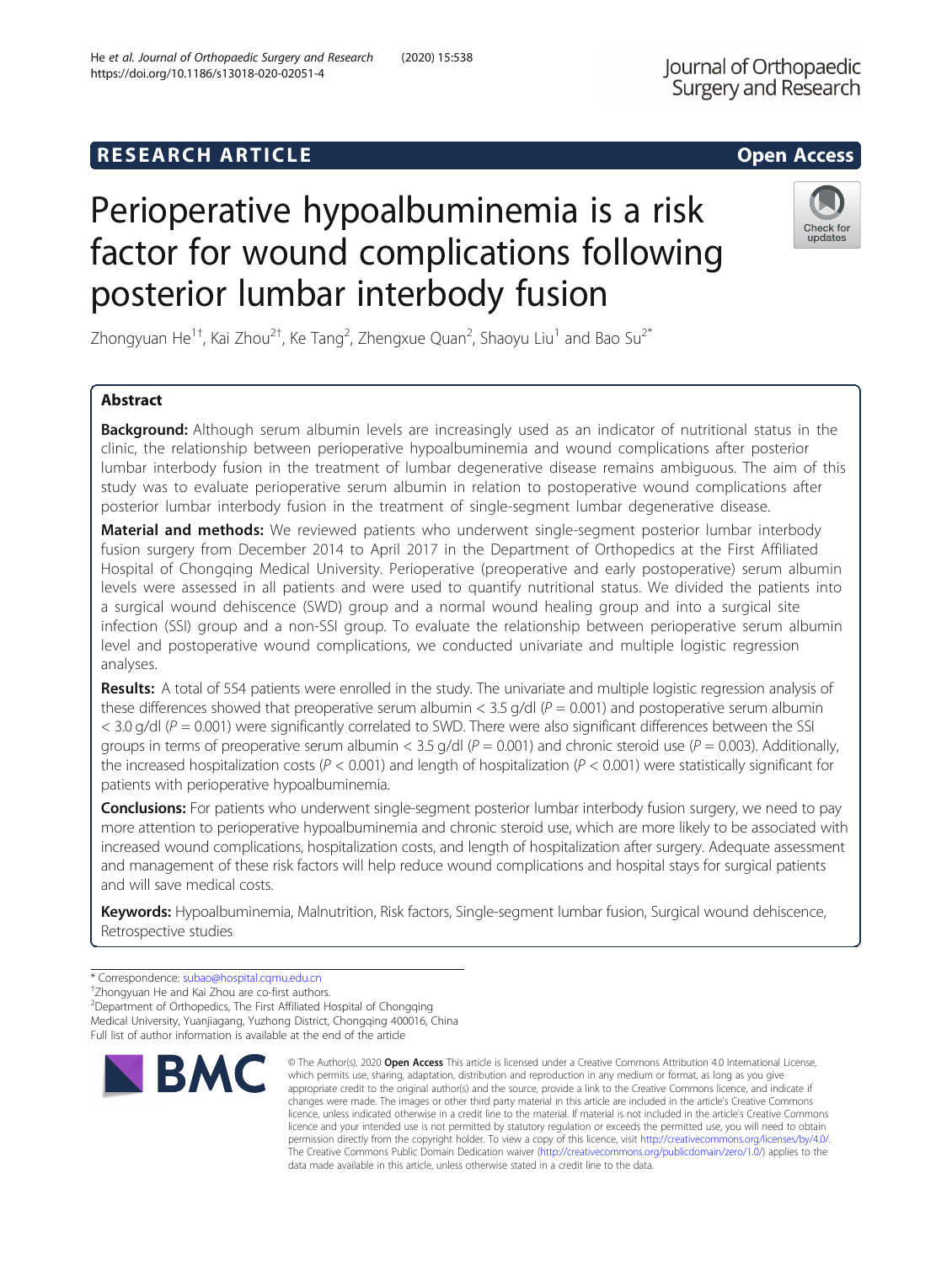## **RESEARCH ARTICLE Example 2014 12:30 The SEAR CH ACCESS**

# Perioperative hypoalbuminemia is a risk factor for wound complications following posterior lumbar interbody fusion

Zhongyuan He $^{1\dagger}$ , Kai Zhou $^{2\dagger}$ , Ke Tang $^2$ , Zhengxue Quan $^2$ , Shaoyu Liu $^1$  and Bao Su $^{2^\ast}$ 

### Abstract

**Background:** Although serum albumin levels are increasingly used as an indicator of nutritional status in the clinic, the relationship between perioperative hypoalbuminemia and wound complications after posterior lumbar interbody fusion in the treatment of lumbar degenerative disease remains ambiguous. The aim of this study was to evaluate perioperative serum albumin in relation to postoperative wound complications after posterior lumbar interbody fusion in the treatment of single-segment lumbar degenerative disease.

Material and methods: We reviewed patients who underwent single-segment posterior lumbar interbody fusion surgery from December 2014 to April 2017 in the Department of Orthopedics at the First Affiliated Hospital of Chongqing Medical University. Perioperative (preoperative and early postoperative) serum albumin levels were assessed in all patients and were used to quantify nutritional status. We divided the patients into a surgical wound dehiscence (SWD) group and a normal wound healing group and into a surgical site infection (SSI) group and a non-SSI group. To evaluate the relationship between perioperative serum albumin level and postoperative wound complications, we conducted univariate and multiple logistic regression analyses.

Results: A total of 554 patients were enrolled in the study. The univariate and multiple logistic regression analysis of these differences showed that preoperative serum albumin < 3.5 g/dl ( $P = 0.001$ ) and postoperative serum albumin  $<$  3.0 g/dl ( $P = 0.001$ ) were significantly correlated to SWD. There were also significant differences between the SSI groups in terms of preoperative serum albumin < 3.5 g/dl ( $P = 0.001$ ) and chronic steroid use ( $P = 0.003$ ). Additionally, the increased hospitalization costs ( $P < 0.001$ ) and length of hospitalization ( $P < 0.001$ ) were statistically significant for patients with perioperative hypoalbuminemia.

Conclusions: For patients who underwent single-segment posterior lumbar interbody fusion surgery, we need to pay more attention to perioperative hypoalbuminemia and chronic steroid use, which are more likely to be associated with increased wound complications, hospitalization costs, and length of hospitalization after surgery. Adequate assessment and management of these risk factors will help reduce wound complications and hospital stays for surgical patients and will save medical costs.

Keywords: Hypoalbuminemia, Malnutrition, Risk factors, Single-segment lumbar fusion, Surgical wound dehiscence, Retrospective studies

<sup>2</sup>Department of Orthopedics, The First Affiliated Hospital of Chongqing Medical University, Yuanjiagang, Yuzhong District, Chongqing 400016, China







<sup>©</sup> The Author(s), 2020 **Open Access** This article is licensed under a Creative Commons Attribution 4.0 International License, which permits use, sharing, adaptation, distribution and reproduction in any medium or format, as long as you give appropriate credit to the original author(s) and the source, provide a link to the Creative Commons licence, and indicate if changes were made. The images or other third party material in this article are included in the article's Creative Commons licence, unless indicated otherwise in a credit line to the material. If material is not included in the article's Creative Commons licence and your intended use is not permitted by statutory regulation or exceeds the permitted use, you will need to obtain permission directly from the copyright holder. To view a copy of this licence, visit [http://creativecommons.org/licenses/by/4.0/.](http://creativecommons.org/licenses/by/4.0/) The Creative Commons Public Domain Dedication waiver [\(http://creativecommons.org/publicdomain/zero/1.0/](http://creativecommons.org/publicdomain/zero/1.0/)) applies to the data made available in this article, unless otherwise stated in a credit line to the data.

<sup>\*</sup> Correspondence: [subao@hospital.cqmu.edu.cn](mailto:subao@hospital.cqmu.edu.cn) †

<sup>&</sup>lt;sup>+</sup>Zhongyuan He and Kai Zhou are co-first authors.

Full list of author information is available at the end of the article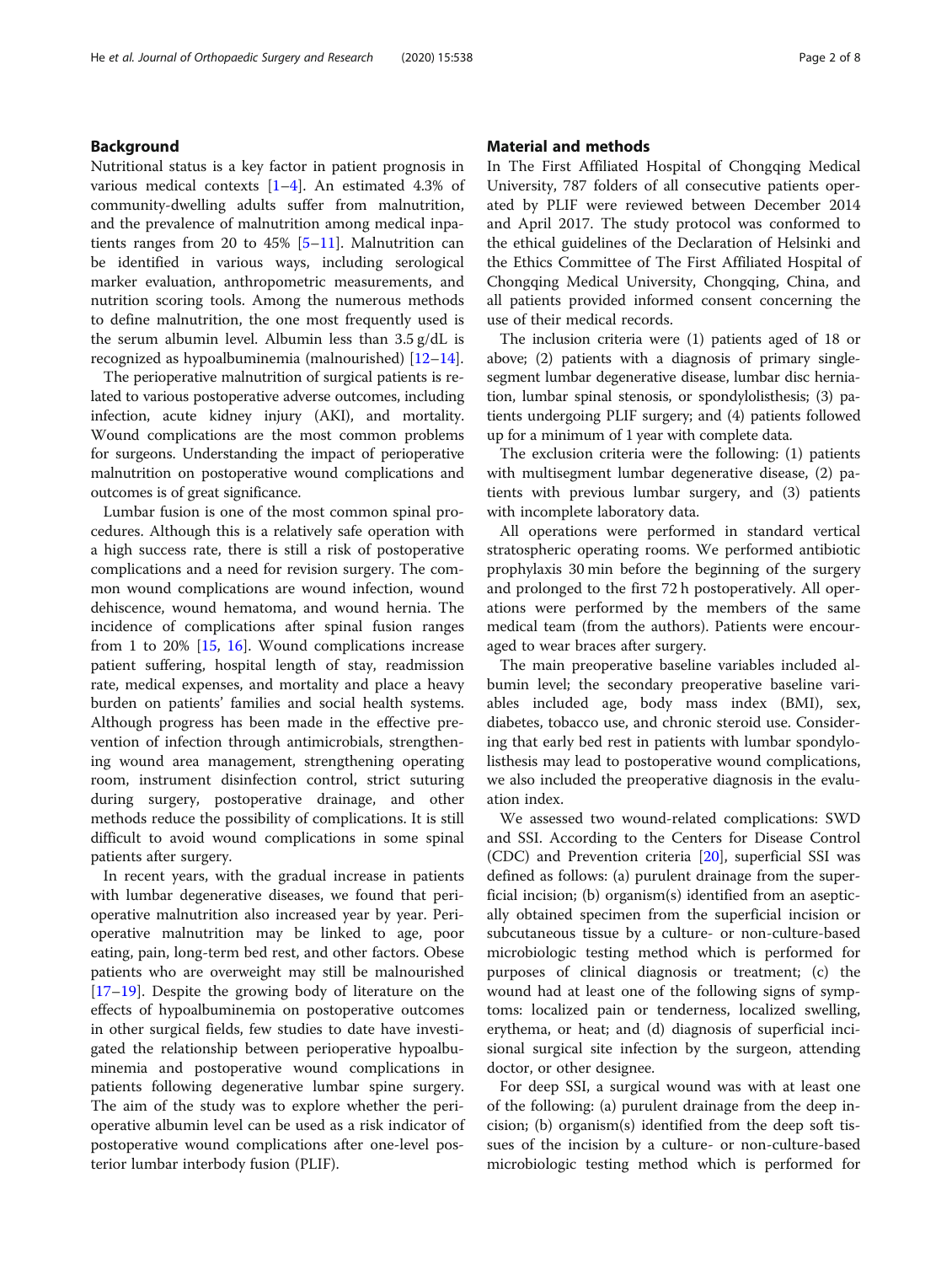#### Background

Nutritional status is a key factor in patient prognosis in various medical contexts  $[1-4]$  $[1-4]$  $[1-4]$  $[1-4]$  $[1-4]$ . An estimated 4.3% of community-dwelling adults suffer from malnutrition, and the prevalence of malnutrition among medical inpatients ranges from 20 to  $45\%$  [\[5](#page-6-0)–[11\]](#page-6-0). Malnutrition can be identified in various ways, including serological marker evaluation, anthropometric measurements, and nutrition scoring tools. Among the numerous methods to define malnutrition, the one most frequently used is the serum albumin level. Albumin less than 3.5 g/dL is recognized as hypoalbuminemia (malnourished) [\[12](#page-6-0)–[14\]](#page-6-0).

The perioperative malnutrition of surgical patients is related to various postoperative adverse outcomes, including infection, acute kidney injury (AKI), and mortality. Wound complications are the most common problems for surgeons. Understanding the impact of perioperative malnutrition on postoperative wound complications and outcomes is of great significance.

Lumbar fusion is one of the most common spinal procedures. Although this is a relatively safe operation with a high success rate, there is still a risk of postoperative complications and a need for revision surgery. The common wound complications are wound infection, wound dehiscence, wound hematoma, and wound hernia. The incidence of complications after spinal fusion ranges from 1 to 20% [\[15,](#page-6-0) [16\]](#page-6-0). Wound complications increase patient suffering, hospital length of stay, readmission rate, medical expenses, and mortality and place a heavy burden on patients' families and social health systems. Although progress has been made in the effective prevention of infection through antimicrobials, strengthening wound area management, strengthening operating room, instrument disinfection control, strict suturing during surgery, postoperative drainage, and other methods reduce the possibility of complications. It is still difficult to avoid wound complications in some spinal patients after surgery.

In recent years, with the gradual increase in patients with lumbar degenerative diseases, we found that perioperative malnutrition also increased year by year. Perioperative malnutrition may be linked to age, poor eating, pain, long-term bed rest, and other factors. Obese patients who are overweight may still be malnourished [[17](#page-7-0)–[19](#page-7-0)]. Despite the growing body of literature on the effects of hypoalbuminemia on postoperative outcomes in other surgical fields, few studies to date have investigated the relationship between perioperative hypoalbuminemia and postoperative wound complications in patients following degenerative lumbar spine surgery. The aim of the study was to explore whether the perioperative albumin level can be used as a risk indicator of postoperative wound complications after one-level posterior lumbar interbody fusion (PLIF).

#### Material and methods

In The First Affiliated Hospital of Chongqing Medical University, 787 folders of all consecutive patients operated by PLIF were reviewed between December 2014 and April 2017. The study protocol was conformed to the ethical guidelines of the Declaration of Helsinki and the Ethics Committee of The First Affiliated Hospital of Chongqing Medical University, Chongqing, China, and all patients provided informed consent concerning the use of their medical records.

The inclusion criteria were (1) patients aged of 18 or above; (2) patients with a diagnosis of primary singlesegment lumbar degenerative disease, lumbar disc herniation, lumbar spinal stenosis, or spondylolisthesis; (3) patients undergoing PLIF surgery; and (4) patients followed up for a minimum of 1 year with complete data.

The exclusion criteria were the following: (1) patients with multisegment lumbar degenerative disease, (2) patients with previous lumbar surgery, and (3) patients with incomplete laboratory data.

All operations were performed in standard vertical stratospheric operating rooms. We performed antibiotic prophylaxis 30 min before the beginning of the surgery and prolonged to the first 72 h postoperatively. All operations were performed by the members of the same medical team (from the authors). Patients were encouraged to wear braces after surgery.

The main preoperative baseline variables included albumin level; the secondary preoperative baseline variables included age, body mass index (BMI), sex, diabetes, tobacco use, and chronic steroid use. Considering that early bed rest in patients with lumbar spondylolisthesis may lead to postoperative wound complications, we also included the preoperative diagnosis in the evaluation index.

We assessed two wound-related complications: SWD and SSI. According to the Centers for Disease Control (CDC) and Prevention criteria [\[20](#page-7-0)], superficial SSI was defined as follows: (a) purulent drainage from the superficial incision; (b) organism(s) identified from an aseptically obtained specimen from the superficial incision or subcutaneous tissue by a culture- or non-culture-based microbiologic testing method which is performed for purposes of clinical diagnosis or treatment; (c) the wound had at least one of the following signs of symptoms: localized pain or tenderness, localized swelling, erythema, or heat; and (d) diagnosis of superficial incisional surgical site infection by the surgeon, attending doctor, or other designee.

For deep SSI, a surgical wound was with at least one of the following: (a) purulent drainage from the deep incision; (b) organism(s) identified from the deep soft tissues of the incision by a culture- or non-culture-based microbiologic testing method which is performed for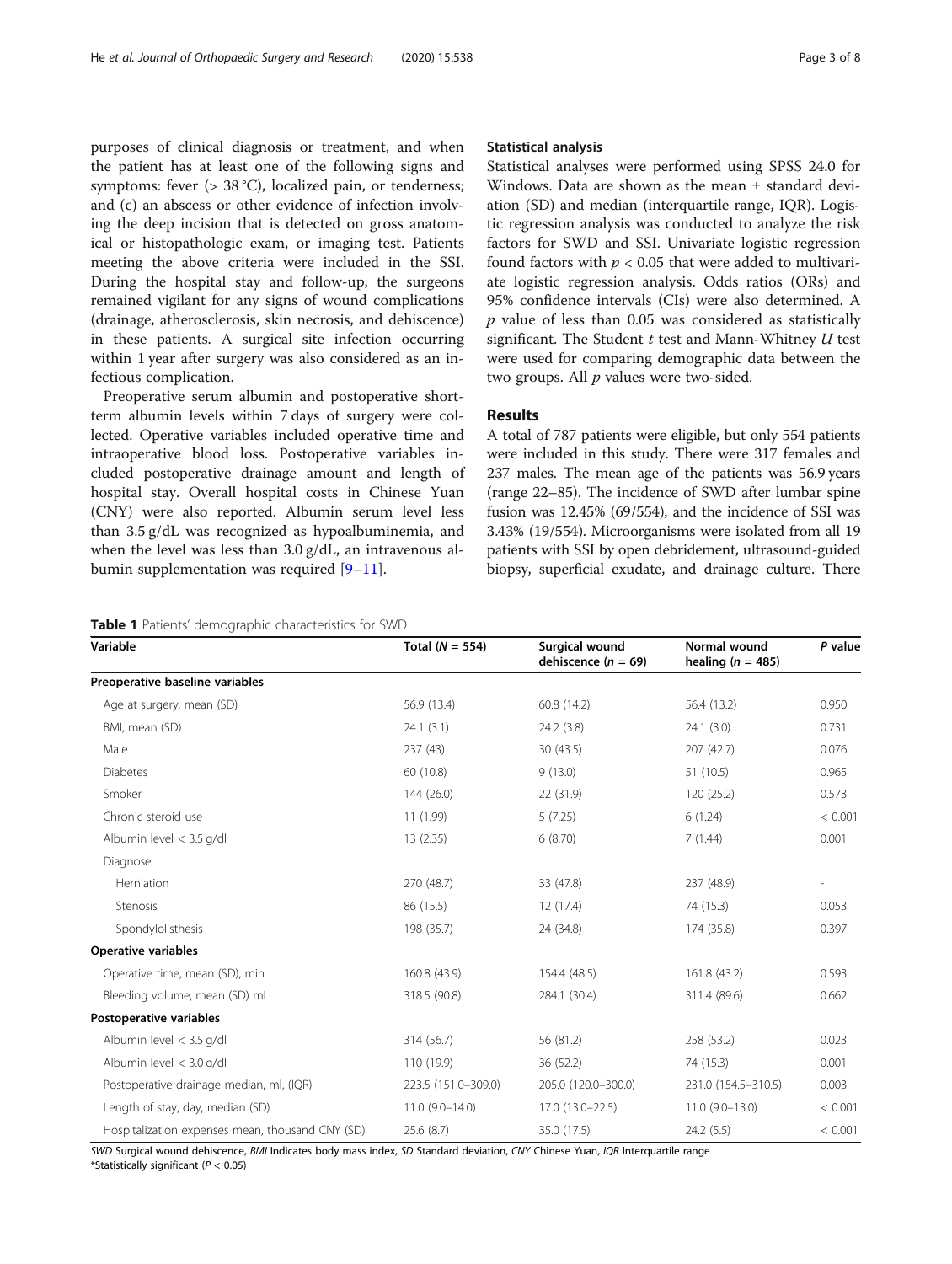<span id="page-2-0"></span>purposes of clinical diagnosis or treatment, and when the patient has at least one of the following signs and symptoms: fever (> 38 °C), localized pain, or tenderness; and (c) an abscess or other evidence of infection involving the deep incision that is detected on gross anatomical or histopathologic exam, or imaging test. Patients meeting the above criteria were included in the SSI. During the hospital stay and follow-up, the surgeons remained vigilant for any signs of wound complications (drainage, atherosclerosis, skin necrosis, and dehiscence) in these patients. A surgical site infection occurring within 1 year after surgery was also considered as an infectious complication.

Preoperative serum albumin and postoperative shortterm albumin levels within 7 days of surgery were collected. Operative variables included operative time and intraoperative blood loss. Postoperative variables included postoperative drainage amount and length of hospital stay. Overall hospital costs in Chinese Yuan (CNY) were also reported. Albumin serum level less than 3.5 g/dL was recognized as hypoalbuminemia, and when the level was less than 3.0 g/dL, an intravenous albumin supplementation was required [[9](#page-6-0)–[11\]](#page-6-0).

#### Statistical analysis

Statistical analyses were performed using SPSS 24.0 for Windows. Data are shown as the mean ± standard deviation (SD) and median (interquartile range, IQR). Logistic regression analysis was conducted to analyze the risk factors for SWD and SSI. Univariate logistic regression found factors with  $p < 0.05$  that were added to multivariate logistic regression analysis. Odds ratios (ORs) and 95% confidence intervals (CIs) were also determined. A  $p$  value of less than 0.05 was considered as statistically significant. The Student  $t$  test and Mann-Whitney  $U$  test were used for comparing demographic data between the two groups. All  $p$  values were two-sided.

#### Results

A total of 787 patients were eligible, but only 554 patients were included in this study. There were 317 females and 237 males. The mean age of the patients was 56.9 years (range 22–85). The incidence of SWD after lumbar spine fusion was 12.45% (69/554), and the incidence of SSI was 3.43% (19/554). Microorganisms were isolated from all 19 patients with SSI by open debridement, ultrasound-guided biopsy, superficial exudate, and drainage culture. There

#### Table 1 Patients' demographic characteristics for SWD

| Variable                                         | Total ( $N = 554$ ) | Surgical wound<br>dehiscence ( $n = 69$ ) | Normal wound<br>healing ( $n = 485$ ) | P value                  |
|--------------------------------------------------|---------------------|-------------------------------------------|---------------------------------------|--------------------------|
| Preoperative baseline variables                  |                     |                                           |                                       |                          |
| Age at surgery, mean (SD)                        | 56.9 (13.4)         | 60.8 (14.2)                               | 56.4 (13.2)                           | 0.950                    |
| BMI, mean (SD)                                   | 24.1(3.1)           | 24.2 (3.8)                                | 24.1(3.0)                             | 0.731                    |
| Male                                             | 237 (43)            | 30(43.5)                                  | 207 (42.7)                            | 0.076                    |
| <b>Diabetes</b>                                  | 60 (10.8)           | 9(13.0)                                   | 51 (10.5)                             | 0.965                    |
| Smoker                                           | 144 (26.0)          | 22 (31.9)                                 | 120 (25.2)                            | 0.573                    |
| Chronic steroid use                              | 11 (1.99)           | 5(7.25)                                   | 6(1.24)                               | < 0.001                  |
| Albumin level $<$ 3.5 g/dl                       | 13(2.35)            | 6(8.70)                                   | 7(1.44)                               | 0.001                    |
| Diagnose                                         |                     |                                           |                                       |                          |
| <b>Herniation</b>                                | 270 (48.7)          | 33 (47.8)                                 | 237 (48.9)                            | $\overline{\phantom{0}}$ |
| Stenosis                                         | 86 (15.5)           | 12 (17.4)                                 | 74 (15.3)                             | 0.053                    |
| Spondylolisthesis                                | 198 (35.7)          | 24 (34.8)                                 | 174 (35.8)                            | 0.397                    |
| <b>Operative variables</b>                       |                     |                                           |                                       |                          |
| Operative time, mean (SD), min                   | 160.8 (43.9)        | 154.4 (48.5)                              | 161.8 (43.2)                          | 0.593                    |
| Bleeding volume, mean (SD) mL                    | 318.5 (90.8)        | 284.1 (30.4)                              | 311.4 (89.6)                          | 0.662                    |
| Postoperative variables                          |                     |                                           |                                       |                          |
| Albumin level < 3.5 g/dl                         | 314 (56.7)          | 56 (81.2)                                 | 258 (53.2)                            | 0.023                    |
| Albumin level < 3.0 g/dl                         | 110 (19.9)          | 36 (52.2)                                 | 74 (15.3)                             | 0.001                    |
| Postoperative drainage median, ml, (IQR)         | 223.5 (151.0-309.0) | 205.0 (120.0-300.0)                       | 231.0 (154.5-310.5)                   | 0.003                    |
| Length of stay, day, median (SD)                 | $11.0(9.0-14.0)$    | 17.0 (13.0-22.5)                          | $11.0(9.0-13.0)$                      | < 0.001                  |
| Hospitalization expenses mean, thousand CNY (SD) | 25.6(8.7)           | 35.0 (17.5)                               | 24.2 (5.5)                            | < 0.001                  |

SWD Surgical wound dehiscence, BMI Indicates body mass index, SD Standard deviation, CNY Chinese Yuan, IQR Interquartile range \*Statistically significant ( $P < 0.05$ )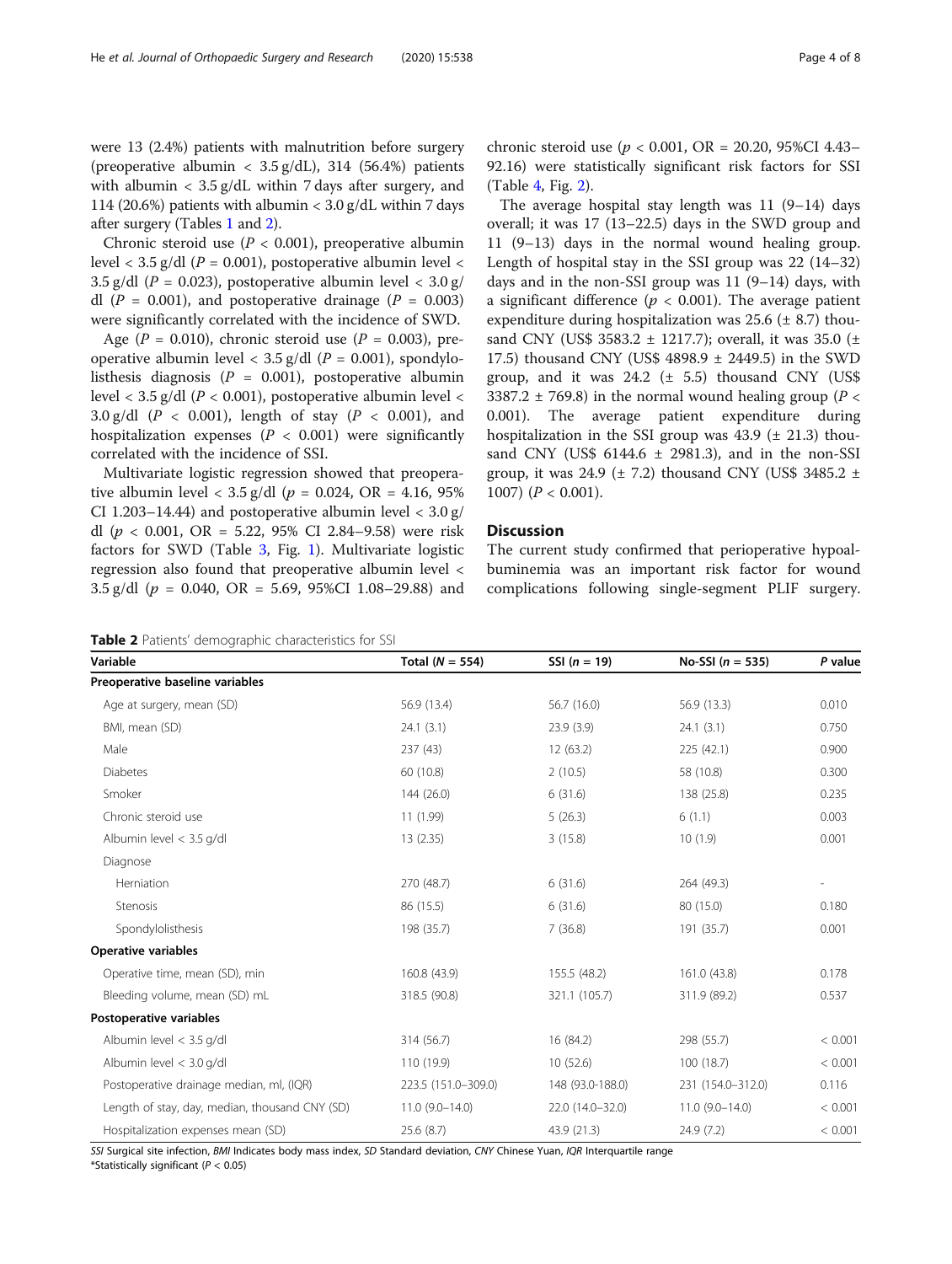were 13 (2.4%) patients with malnutrition before surgery (preoperative albumin <  $3.5 \text{ g/dL}$ ), 314 (56.4%) patients with albumin  $\langle 3.5 \text{ g/d}$ L within 7 days after surgery, and 114 (20.6%) patients with albumin <  $3.0$  g/dL within 7 days after surgery (Tables [1](#page-2-0) and 2).

Chronic steroid use ( $P < 0.001$ ), preoperative albumin level <  $3.5$  g/dl ( $P = 0.001$ ), postoperative albumin level < 3.5 g/dl ( $P = 0.023$ ), postoperative albumin level  $\langle 3.0 \text{ g} \rangle$ dl  $(P = 0.001)$ , and postoperative drainage  $(P = 0.003)$ were significantly correlated with the incidence of SWD.

Age ( $P = 0.010$ ), chronic steroid use ( $P = 0.003$ ), preoperative albumin level <  $3.5$  g/dl ( $P = 0.001$ ), spondylolisthesis diagnosis ( $P = 0.001$ ), postoperative albumin level <  $3.5 \text{ g/dl}$  ( $P < 0.001$ ), postoperative albumin level < 3.0 g/dl  $(P < 0.001)$ , length of stay  $(P < 0.001)$ , and hospitalization expenses ( $P < 0.001$ ) were significantly correlated with the incidence of SSI.

Multivariate logistic regression showed that preoperative albumin level <  $3.5 \text{ g/dl}$  ( $p = 0.024$ , OR = 4.16, 95%) CI 1.203–14.44) and postoperative albumin level  $<$  3.0 g/ dl ( $p < 0.001$ , OR = 5.22, 95% CI 2.84-9.58) were risk factors for SWD (Table [3,](#page-4-0) Fig. [1\)](#page-4-0). Multivariate logistic regression also found that preoperative albumin level < 3.5 g/dl ( $p = 0.040$ , OR = 5.69, 95%CI 1.08-29.88) and chronic steroid use ( $p < 0.001$ , OR = 20.20, 95%CI 4.43-92.16) were statistically significant risk factors for SSI (Table [4,](#page-5-0) Fig. [2](#page-5-0)).

The average hospital stay length was  $11$  (9–14) days overall; it was 17 (13–22.5) days in the SWD group and 11 (9–13) days in the normal wound healing group. Length of hospital stay in the SSI group was 22 (14–32) days and in the non-SSI group was 11 (9–14) days, with a significant difference ( $p < 0.001$ ). The average patient expenditure during hospitalization was  $25.6 \ (\pm 8.7)$  thousand CNY (US\$ 3583.2 ± 1217.7); overall, it was 35.0 (± 17.5) thousand CNY (US\$ 4898.9 ± 2449.5) in the SWD group, and it was  $24.2$  ( $\pm$  5.5) thousand CNY (US\$ 3387.2  $\pm$  769.8) in the normal wound healing group (P < 0.001). The average patient expenditure during hospitalization in the SSI group was  $43.9$  ( $\pm$  21.3) thousand CNY (US\$  $6144.6 \pm 2981.3$ ), and in the non-SSI group, it was 24.9 ( $\pm$  7.2) thousand CNY (US\$ 3485.2  $\pm$ 1007)  $(P < 0.001)$ .

#### **Discussion**

The current study confirmed that perioperative hypoalbuminemia was an important risk factor for wound complications following single-segment PLIF surgery.

| Table 2 Patients' demographic characteristics for SSI |  |  |  |
|-------------------------------------------------------|--|--|--|
|-------------------------------------------------------|--|--|--|

| Variable                                       | Total $(N = 554)$   | SSI $(n = 19)$   | No-SSI $(n = 535)$ | P value |
|------------------------------------------------|---------------------|------------------|--------------------|---------|
| Preoperative baseline variables                |                     |                  |                    |         |
| Age at surgery, mean (SD)                      | 56.9 (13.4)         | 56.7 (16.0)      | 56.9 (13.3)        | 0.010   |
| BMI, mean (SD)                                 | 24.1(3.1)           | 23.9(3.9)        | 24.1(3.1)          | 0.750   |
| Male                                           | 237(43)             | 12 (63.2)        | 225 (42.1)         | 0.900   |
| Diabetes                                       | 60 (10.8)           | 2(10.5)          | 58 (10.8)          | 0.300   |
| Smoker                                         | 144 (26.0)          | 6(31.6)          | 138 (25.8)         | 0.235   |
| Chronic steroid use                            | 11 (1.99)           | 5(26.3)          | 6(1.1)             | 0.003   |
| Albumin level < 3.5 g/dl                       | 13(2.35)            | 3(15.8)          | 10(1.9)            | 0.001   |
| Diagnose                                       |                     |                  |                    |         |
| Herniation                                     | 270 (48.7)          | 6(31.6)          | 264 (49.3)         |         |
| Stenosis                                       | 86 (15.5)           | 6(31.6)          | 80 (15.0)          | 0.180   |
| Spondylolisthesis                              | 198 (35.7)          | 7(36.8)          | 191 (35.7)         | 0.001   |
| <b>Operative variables</b>                     |                     |                  |                    |         |
| Operative time, mean (SD), min                 | 160.8 (43.9)        | 155.5 (48.2)     | 161.0 (43.8)       | 0.178   |
| Bleeding volume, mean (SD) mL                  | 318.5 (90.8)        | 321.1 (105.7)    | 311.9 (89.2)       | 0.537   |
| Postoperative variables                        |                     |                  |                    |         |
| Albumin level $<$ 3.5 g/dl                     | 314 (56.7)          | 16 (84.2)        | 298 (55.7)         | < 0.001 |
| Albumin level $<$ 3.0 g/dl                     | 110 (19.9)          | 10(52.6)         | 100(18.7)          | < 0.001 |
| Postoperative drainage median, ml, (IQR)       | 223.5 (151.0-309.0) | 148 (93.0-188.0) | 231 (154.0-312.0)  | 0.116   |
| Length of stay, day, median, thousand CNY (SD) | $11.0(9.0 - 14.0)$  | 22.0 (14.0-32.0) | $11.0(9.0 - 14.0)$ | < 0.001 |
| Hospitalization expenses mean (SD)             | 25.6(8.7)           | 43.9 (21.3)      | 24.9 (7.2)         | < 0.001 |

SSI Surgical site infection, BMI Indicates body mass index, SD Standard deviation, CNY Chinese Yuan, IQR Interquartile range

\*Statistically significant ( $P < 0.05$ )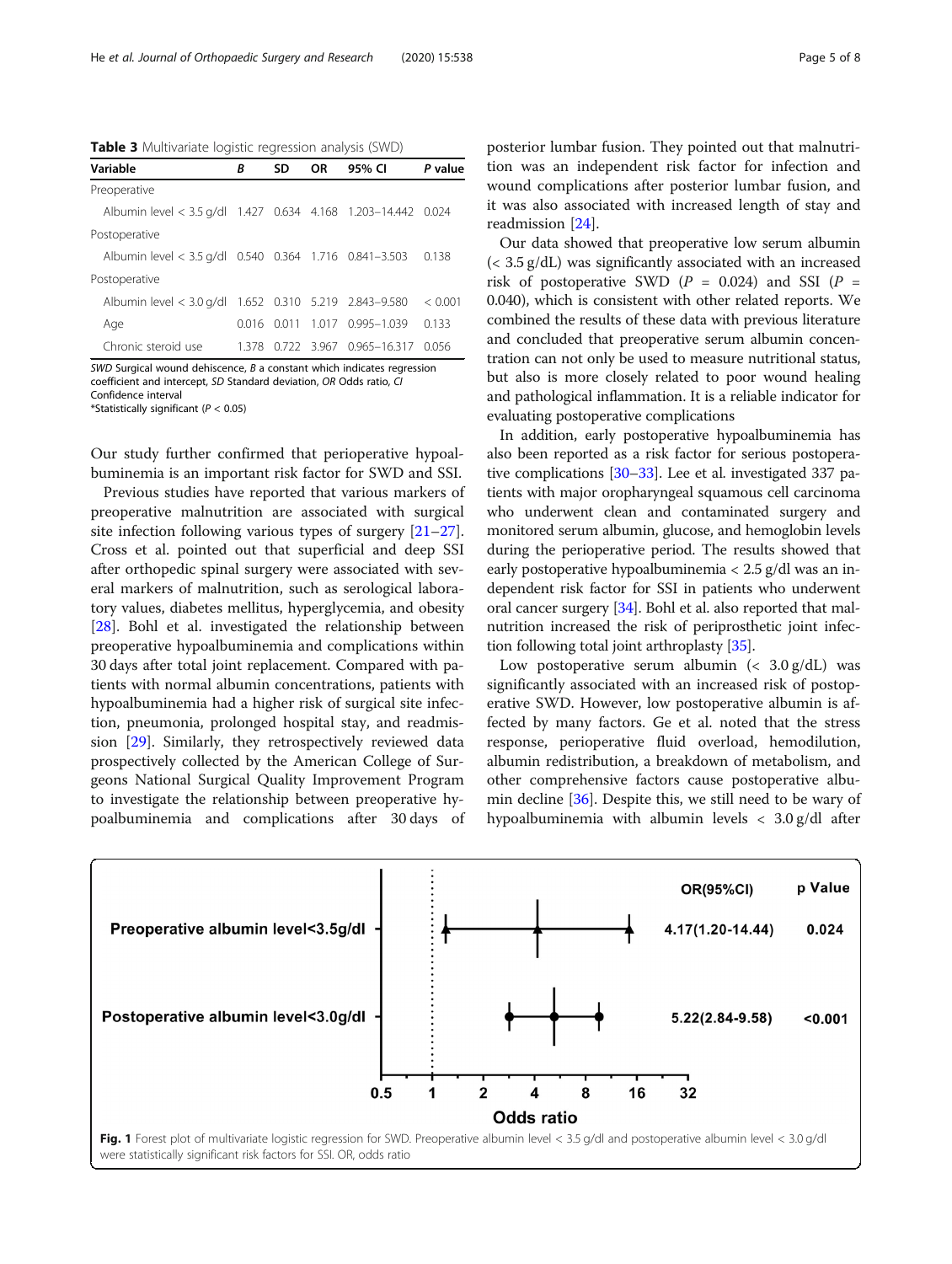<span id="page-4-0"></span>Table 3 Multivariate logistic regression analysis (SWD)

| Variable                                                      | B     | SD | <b>OR</b> | 95% CI                        | P value |
|---------------------------------------------------------------|-------|----|-----------|-------------------------------|---------|
| Preoperative                                                  |       |    |           |                               |         |
| Albumin level < 3.5 g/dl 1.427 0.634 4.168 1.203-14.442 0.024 |       |    |           |                               |         |
| Postoperative                                                 |       |    |           |                               |         |
| Albumin level < 3.5 g/dl 0.540 0.364 1.716 0.841-3.503        |       |    |           |                               | 0.138   |
| Postoperative                                                 |       |    |           |                               |         |
| Albumin level < 3.0 g/dl 1.652 0.310 5.219 2.843-9.580        |       |    |           |                               | < 0.001 |
| Age                                                           |       |    |           | 0.016 0.011 1.017 0.995-1.039 | 0.133   |
| Chronic steroid use                                           | 1.378 |    |           | 0.722 3.967 0.965-16.317      | 0.056   |
|                                                               |       |    |           |                               |         |

SWD Surgical wound dehiscence, B a constant which indicates regression coefficient and intercept, SD Standard deviation, OR Odds ratio, CI Confidence interval

\*Statistically significant ( $P < 0.05$ )

Our study further confirmed that perioperative hypoalbuminemia is an important risk factor for SWD and SSI.

Previous studies have reported that various markers of preoperative malnutrition are associated with surgical site infection following various types of surgery [[21](#page-7-0)–[27](#page-7-0)]. Cross et al. pointed out that superficial and deep SSI after orthopedic spinal surgery were associated with several markers of malnutrition, such as serological laboratory values, diabetes mellitus, hyperglycemia, and obesity [[28\]](#page-7-0). Bohl et al. investigated the relationship between preoperative hypoalbuminemia and complications within 30 days after total joint replacement. Compared with patients with normal albumin concentrations, patients with hypoalbuminemia had a higher risk of surgical site infection, pneumonia, prolonged hospital stay, and readmission [[29\]](#page-7-0). Similarly, they retrospectively reviewed data prospectively collected by the American College of Surgeons National Surgical Quality Improvement Program to investigate the relationship between preoperative hypoalbuminemia and complications after 30 days of posterior lumbar fusion. They pointed out that malnutrition was an independent risk factor for infection and wound complications after posterior lumbar fusion, and it was also associated with increased length of stay and readmission [[24\]](#page-7-0).

Our data showed that preoperative low serum albumin  $\langle$  < 3.5 g/dL) was significantly associated with an increased risk of postoperative SWD ( $P = 0.024$ ) and SSI ( $P =$ 0.040), which is consistent with other related reports. We combined the results of these data with previous literature and concluded that preoperative serum albumin concentration can not only be used to measure nutritional status, but also is more closely related to poor wound healing and pathological inflammation. It is a reliable indicator for evaluating postoperative complications

In addition, early postoperative hypoalbuminemia has also been reported as a risk factor for serious postoperative complications [\[30](#page-7-0)–[33](#page-7-0)]. Lee et al. investigated 337 patients with major oropharyngeal squamous cell carcinoma who underwent clean and contaminated surgery and monitored serum albumin, glucose, and hemoglobin levels during the perioperative period. The results showed that early postoperative hypoalbuminemia < 2.5 g/dl was an independent risk factor for SSI in patients who underwent oral cancer surgery [[34](#page-7-0)]. Bohl et al. also reported that malnutrition increased the risk of periprosthetic joint infection following total joint arthroplasty [[35](#page-7-0)].

Low postoperative serum albumin  $\langle \, \langle 3.0 \, \text{g/d} \rangle$  was significantly associated with an increased risk of postoperative SWD. However, low postoperative albumin is affected by many factors. Ge et al. noted that the stress response, perioperative fluid overload, hemodilution, albumin redistribution, a breakdown of metabolism, and other comprehensive factors cause postoperative albu-min decline [[36\]](#page-7-0). Despite this, we still need to be wary of hypoalbuminemia with albumin levels < 3.0 g/dl after

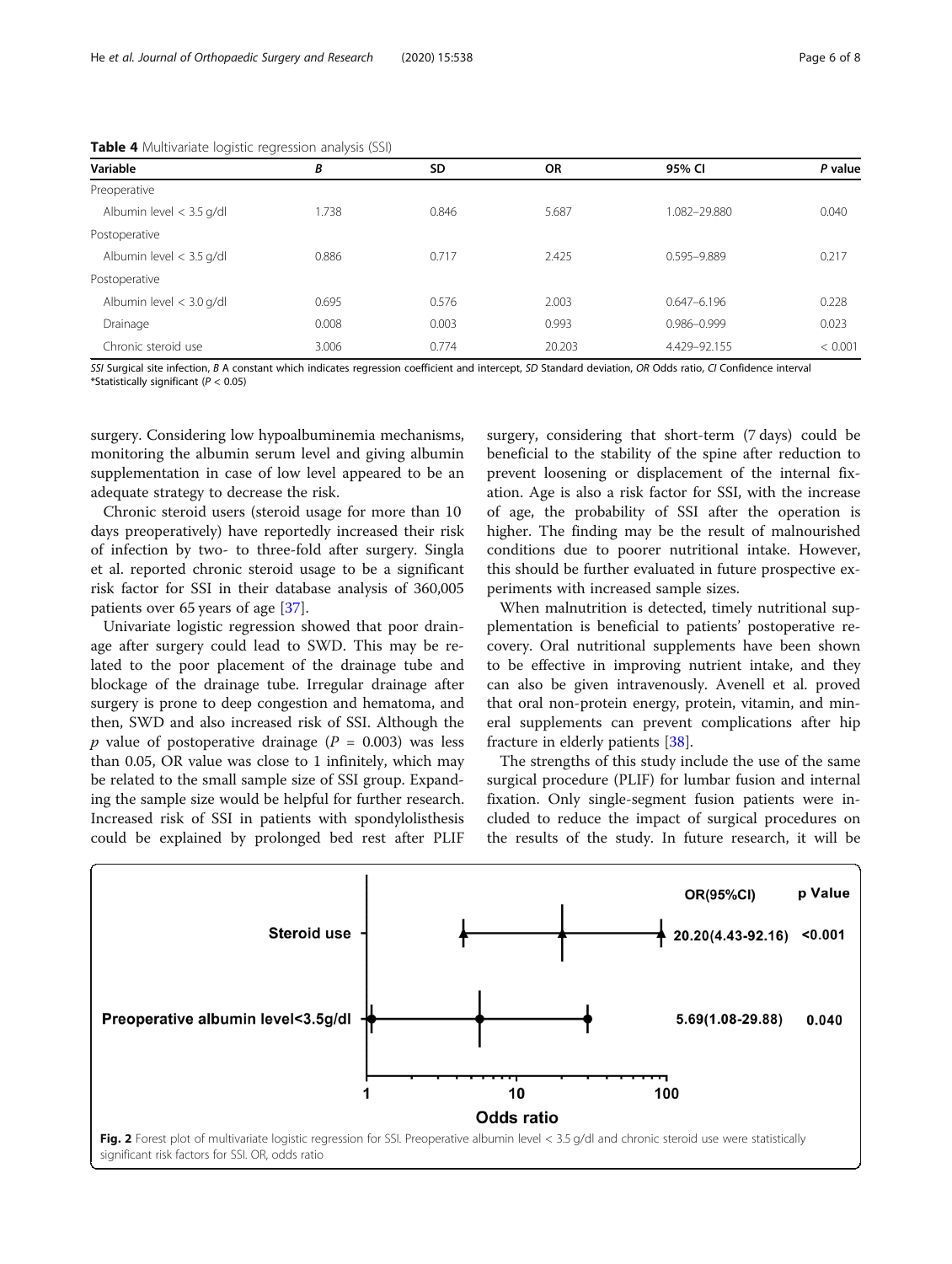| Variable                   | B     | <b>SD</b> | <b>OR</b> | 95% CI          | P value |
|----------------------------|-------|-----------|-----------|-----------------|---------|
| Preoperative               |       |           |           |                 |         |
| Albumin level $<$ 3.5 g/dl | 1.738 | 0.846     | 5.687     | 1.082-29.880    | 0.040   |
| Postoperative              |       |           |           |                 |         |
| Albumin level $<$ 3.5 g/dl | 0.886 | 0.717     | 2.425     | 0.595-9.889     | 0.217   |
| Postoperative              |       |           |           |                 |         |
| Albumin level $<$ 3.0 g/dl | 0.695 | 0.576     | 2.003     | $0.647 - 6.196$ | 0.228   |
| Drainage                   | 0.008 | 0.003     | 0.993     | $0.986 - 0.999$ | 0.023   |
| Chronic steroid use        | 3.006 | 0.774     | 20.203    | 4.429-92.155    | < 0.001 |

<span id="page-5-0"></span>Table 4 Multivariate logistic regression analysis (SSI)

SSI Surgical site infection, B A constant which indicates regression coefficient and intercept, SD Standard deviation, OR Odds ratio, CI Confidence interval \*Statistically significant ( $P < 0.05$ )

surgery. Considering low hypoalbuminemia mechanisms, monitoring the albumin serum level and giving albumin supplementation in case of low level appeared to be an adequate strategy to decrease the risk.

Chronic steroid users (steroid usage for more than 10 days preoperatively) have reportedly increased their risk of infection by two- to three-fold after surgery. Singla et al. reported chronic steroid usage to be a significant risk factor for SSI in their database analysis of 360,005 patients over 65 years of age [\[37](#page-7-0)].

Univariate logistic regression showed that poor drainage after surgery could lead to SWD. This may be related to the poor placement of the drainage tube and blockage of the drainage tube. Irregular drainage after surgery is prone to deep congestion and hematoma, and then, SWD and also increased risk of SSI. Although the p value of postoperative drainage ( $P = 0.003$ ) was less than 0.05, OR value was close to 1 infinitely, which may be related to the small sample size of SSI group. Expanding the sample size would be helpful for further research. Increased risk of SSI in patients with spondylolisthesis could be explained by prolonged bed rest after PLIF

surgery, considering that short-term (7 days) could be beneficial to the stability of the spine after reduction to prevent loosening or displacement of the internal fixation. Age is also a risk factor for SSI, with the increase of age, the probability of SSI after the operation is higher. The finding may be the result of malnourished conditions due to poorer nutritional intake. However, this should be further evaluated in future prospective experiments with increased sample sizes.

When malnutrition is detected, timely nutritional supplementation is beneficial to patients' postoperative recovery. Oral nutritional supplements have been shown to be effective in improving nutrient intake, and they can also be given intravenously. Avenell et al. proved that oral non-protein energy, protein, vitamin, and mineral supplements can prevent complications after hip fracture in elderly patients [[38\]](#page-7-0).

The strengths of this study include the use of the same surgical procedure (PLIF) for lumbar fusion and internal fixation. Only single-segment fusion patients were included to reduce the impact of surgical procedures on the results of the study. In future research, it will be

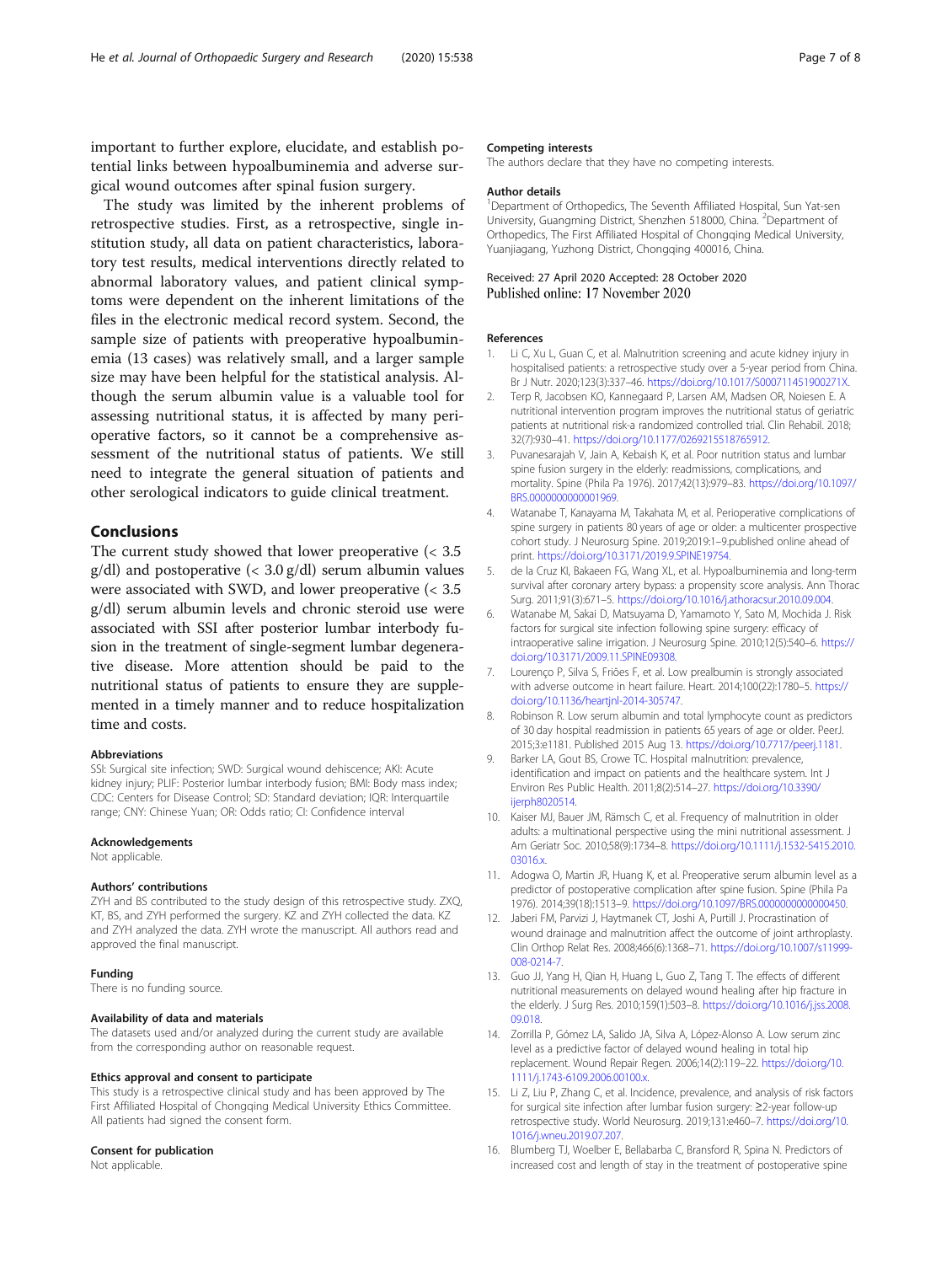<span id="page-6-0"></span>important to further explore, elucidate, and establish potential links between hypoalbuminemia and adverse surgical wound outcomes after spinal fusion surgery.

The study was limited by the inherent problems of retrospective studies. First, as a retrospective, single institution study, all data on patient characteristics, laboratory test results, medical interventions directly related to abnormal laboratory values, and patient clinical symptoms were dependent on the inherent limitations of the files in the electronic medical record system. Second, the sample size of patients with preoperative hypoalbuminemia (13 cases) was relatively small, and a larger sample size may have been helpful for the statistical analysis. Although the serum albumin value is a valuable tool for assessing nutritional status, it is affected by many perioperative factors, so it cannot be a comprehensive assessment of the nutritional status of patients. We still need to integrate the general situation of patients and other serological indicators to guide clinical treatment.

#### Conclusions

The current study showed that lower preoperative (< 3.5  $g/dl$ ) and postoperative (< 3.0  $g/dl$ ) serum albumin values were associated with SWD, and lower preoperative (< 3.5 g/dl) serum albumin levels and chronic steroid use were associated with SSI after posterior lumbar interbody fusion in the treatment of single-segment lumbar degenerative disease. More attention should be paid to the nutritional status of patients to ensure they are supplemented in a timely manner and to reduce hospitalization time and costs.

#### **Abbreviations**

SSI: Surgical site infection; SWD: Surgical wound dehiscence; AKI: Acute kidney injury; PLIF: Posterior lumbar interbody fusion; BMI: Body mass index; CDC: Centers for Disease Control; SD: Standard deviation; IQR: Interquartile range; CNY: Chinese Yuan; OR: Odds ratio; CI: Confidence interval

#### Acknowledgements

Not applicable.

#### Authors' contributions

ZYH and BS contributed to the study design of this retrospective study. ZXQ, KT, BS, and ZYH performed the surgery. KZ and ZYH collected the data. KZ and ZYH analyzed the data. ZYH wrote the manuscript. All authors read and approved the final manuscript.

#### Funding

There is no funding source.

#### Availability of data and materials

The datasets used and/or analyzed during the current study are available from the corresponding author on reasonable request.

#### Ethics approval and consent to participate

This study is a retrospective clinical study and has been approved by The First Affiliated Hospital of Chongqing Medical University Ethics Committee. All patients had signed the consent form.

#### Consent for publication

Not applicable.

#### Competing interests

The authors declare that they have no competing interests.

#### Author details

<sup>1</sup>Department of Orthopedics, The Seventh Affiliated Hospital, Sun Yat-sen University, Guangming District, Shenzhen 518000, China. <sup>2</sup>Department of Orthopedics, The First Affiliated Hospital of Chongqing Medical University, Yuanjiagang, Yuzhong District, Chongqing 400016, China.

#### Received: 27 April 2020 Accepted: 28 October 2020 Published online: 17 November 2020

#### References

- 1. Li C, Xu L, Guan C, et al. Malnutrition screening and acute kidney injury in hospitalised patients: a retrospective study over a 5-year period from China. Br J Nutr. 2020;123(3):337–46. [https://doi.org/10.1017/S000711451900271X.](https://doi.org/10.1017/S000711451900271X)
- 2. Terp R, Jacobsen KO, Kannegaard P, Larsen AM, Madsen OR, Noiesen E. A nutritional intervention program improves the nutritional status of geriatric patients at nutritional risk-a randomized controlled trial. Clin Rehabil. 2018; 32(7):930–41. [https://doi.org/10.1177/0269215518765912.](https://doi.org/10.1177/0269215518765912)
- 3. Puvanesarajah V, Jain A, Kebaish K, et al. Poor nutrition status and lumbar spine fusion surgery in the elderly: readmissions, complications, and mortality. Spine (Phila Pa 1976). 2017;42(13):979–83. [https://doi.org/10.1097/](https://doi.org/10.1097/BRS.0000000000001969) [BRS.0000000000001969.](https://doi.org/10.1097/BRS.0000000000001969)
- 4. Watanabe T, Kanayama M, Takahata M, et al. Perioperative complications of spine surgery in patients 80 years of age or older: a multicenter prospective cohort study. J Neurosurg Spine. 2019;2019:1–9.published online ahead of print. <https://doi.org/10.3171/2019.9.SPINE19754>.
- 5. de la Cruz KI, Bakaeen FG, Wang XL, et al. Hypoalbuminemia and long-term survival after coronary artery bypass: a propensity score analysis. Ann Thorac Surg. 2011;91(3):671–5. <https://doi.org/10.1016/j.athoracsur.2010.09.004>.
- 6. Watanabe M, Sakai D, Matsuyama D, Yamamoto Y, Sato M, Mochida J. Risk factors for surgical site infection following spine surgery: efficacy of intraoperative saline irrigation. J Neurosurg Spine. 2010;12(5):540–6. [https://](https://doi.org/10.3171/2009.11.SPINE09308) [doi.org/10.3171/2009.11.SPINE09308](https://doi.org/10.3171/2009.11.SPINE09308).
- 7. Lourenço P, Silva S, Friões F, et al. Low prealbumin is strongly associated with adverse outcome in heart failure. Heart. 2014;100(22):1780–5. [https://](https://doi.org/10.1136/heartjnl-2014-305747) [doi.org/10.1136/heartjnl-2014-305747.](https://doi.org/10.1136/heartjnl-2014-305747)
- 8. Robinson R. Low serum albumin and total lymphocyte count as predictors of 30 day hospital readmission in patients 65 years of age or older. PeerJ. 2015;3:e1181. Published 2015 Aug 13. [https://doi.org/10.7717/peerj.1181.](https://doi.org/10.7717/peerj.1181)
- 9. Barker LA, Gout BS, Crowe TC. Hospital malnutrition: prevalence, identification and impact on patients and the healthcare system. Int J Environ Res Public Health. 2011;8(2):514–27. [https://doi.org/10.3390/](https://doi.org/10.3390/ijerph8020514) [ijerph8020514.](https://doi.org/10.3390/ijerph8020514)
- 10. Kaiser MJ, Bauer JM, Rämsch C, et al. Frequency of malnutrition in older adults: a multinational perspective using the mini nutritional assessment. J Am Geriatr Soc. 2010;58(9):1734–8. [https://doi.org/10.1111/j.1532-5415.2010.](https://doi.org/10.1111/j.1532-5415.2010.03016.x) 03016x
- 11. Adogwa O, Martin JR, Huang K, et al. Preoperative serum albumin level as a predictor of postoperative complication after spine fusion. Spine (Phila Pa 1976). 2014;39(18):1513–9. <https://doi.org/10.1097/BRS.0000000000000450>.
- 12. Jaberi FM, Parvizi J, Haytmanek CT, Joshi A, Purtill J. Procrastination of wound drainage and malnutrition affect the outcome of joint arthroplasty. Clin Orthop Relat Res. 2008;466(6):1368–71. [https://doi.org/10.1007/s11999-](https://doi.org/10.1007/s11999-008-0214-7) [008-0214-7](https://doi.org/10.1007/s11999-008-0214-7).
- 13. Guo JJ, Yang H, Qian H, Huang L, Guo Z, Tang T. The effects of different nutritional measurements on delayed wound healing after hip fracture in the elderly. J Surg Res. 2010;159(1):503–8. [https://doi.org/10.1016/j.jss.2008.](https://doi.org/10.1016/j.jss.2008.09.018) [09.018.](https://doi.org/10.1016/j.jss.2008.09.018)
- 14. Zorrilla P, Gómez LA, Salido JA, Silva A, López-Alonso A. Low serum zinc level as a predictive factor of delayed wound healing in total hip replacement. Wound Repair Regen. 2006;14(2):119–22. [https://doi.org/10.](https://doi.org/10.1111/j.1743-6109.2006.00100.x) [1111/j.1743-6109.2006.00100.x](https://doi.org/10.1111/j.1743-6109.2006.00100.x).
- 15. Li Z, Liu P, Zhang C, et al. Incidence, prevalence, and analysis of risk factors for surgical site infection after lumbar fusion surgery: ≥2-year follow-up retrospective study. World Neurosurg. 2019;131:e460–7. [https://doi.org/10.](https://doi.org/10.1016/j.wneu.2019.07.207) [1016/j.wneu.2019.07.207.](https://doi.org/10.1016/j.wneu.2019.07.207)
- 16. Blumberg TJ, Woelber E, Bellabarba C, Bransford R, Spina N. Predictors of increased cost and length of stay in the treatment of postoperative spine